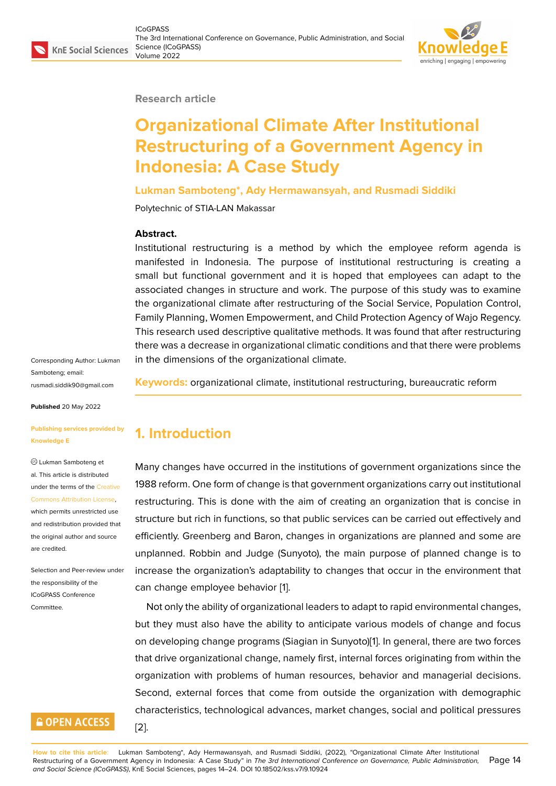#### **Research article**

# **Organizational Climate After Institutional Restructuring of a Government Agency in Indonesia: A Case Study**

**Lukman Samboteng\*, Ady Hermawansyah, and Rusmadi Siddiki**

Polytechnic of STIA-LAN Makassar

### **Abstract.**

Institutional restructuring is a method by which the employee reform agenda is manifested in Indonesia. The purpose of institutional restructuring is creating a small but functional government and it is hoped that employees can adapt to the associated changes in structure and work. The purpose of this study was to examine the organizational climate after restructuring of the Social Service, Population Control, Family Planning, Women Empowerment, and Child Protection Agency of Wajo Regency. This research used descriptive qualitative methods. It was found that after restructuring there was a decrease in organizational climatic conditions and that there were problems in the dimensions of the organizational climate.

Corresponding Author: Lukman Samboteng; email: rusmadi.siddik90@gmail.com

**Published** 20 May 2022

#### **[Publishing services provided](mailto:rusmadi.siddik90@gmail.com) by Knowledge E**

Lukman Samboteng et al. This article is distributed under the terms of the Creative Commons Attribution License,

which permits unrestricted use and redistribution provided that the original author and [source](https://creativecommons.org/licenses/by/4.0/) [are credited.](https://creativecommons.org/licenses/by/4.0/)

Selection and Peer-review under the responsibility of the ICoGPASS Conference Committee.

# **GOPEN ACCESS**

[2].

**Keywords:** organizational climate, institutional restructuring, bureaucratic reform

# **1. Introduction**

Many changes have occurred in the institutions of government organizations since the 1988 reform. One form of change is that government organizations carry out institutional restructuring. This is done with the aim of creating an organization that is concise in structure but rich in functions, so that public services can be carried out effectively and efficiently. Greenberg and Baron, changes in organizations are planned and some are unplanned. Robbin and Judge (Sunyoto), the main purpose of planned change is to increase the organization's adaptability to changes that occur in the environment that can change employee behavior [1].

Not only the ability of organizational leaders to adapt to rapid environmental changes, but they must also have the ability to anticipate various models of change and focus on developing change programs [\(S](#page-9-0)iagian in Sunyoto)[1]. In general, there are two forces that drive organizational change, namely first, internal forces originating from within the organization with problems of human resources, behavior and managerial decisions. Second, external forces that come from outside th[e](#page-9-0) organization with demographic characteristics, technological advances, market changes, social and political pressures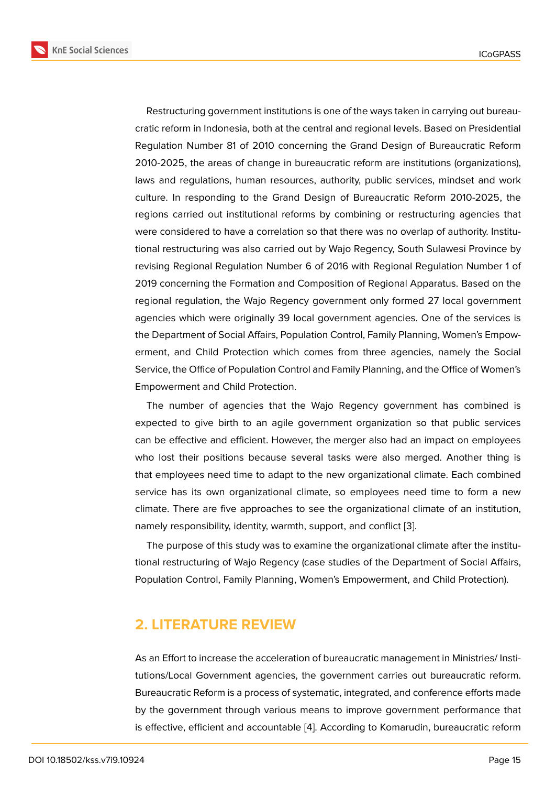Restructuring government institutions is one of the ways taken in carrying out bureaucratic reform in Indonesia, both at the central and regional levels. Based on Presidential Regulation Number 81 of 2010 concerning the Grand Design of Bureaucratic Reform 2010-2025, the areas of change in bureaucratic reform are institutions (organizations), laws and regulations, human resources, authority, public services, mindset and work culture. In responding to the Grand Design of Bureaucratic Reform 2010-2025, the regions carried out institutional reforms by combining or restructuring agencies that were considered to have a correlation so that there was no overlap of authority. Institutional restructuring was also carried out by Wajo Regency, South Sulawesi Province by revising Regional Regulation Number 6 of 2016 with Regional Regulation Number 1 of 2019 concerning the Formation and Composition of Regional Apparatus. Based on the regional regulation, the Wajo Regency government only formed 27 local government agencies which were originally 39 local government agencies. One of the services is the Department of Social Affairs, Population Control, Family Planning, Women's Empowerment, and Child Protection which comes from three agencies, namely the Social Service, the Office of Population Control and Family Planning, and the Office of Women's Empowerment and Child Protection.

The number of agencies that the Wajo Regency government has combined is expected to give birth to an agile government organization so that public services can be effective and efficient. However, the merger also had an impact on employees who lost their positions because several tasks were also merged. Another thing is that employees need time to adapt to the new organizational climate. Each combined service has its own organizational climate, so employees need time to form a new climate. There are five approaches to see the organizational climate of an institution, namely responsibility, identity, warmth, support, and conflict [3].

The purpose of this study was to examine the organizational climate after the institutional restructuring of Wajo Regency (case studies of the Department of Social Affairs, Population Control, Family Planning, Women's Empowermen[t,](#page-9-2) and Child Protection).

## **2. LITERATURE REVIEW**

As an Effort to increase the acceleration of bureaucratic management in Ministries/ Institutions/Local Government agencies, the government carries out bureaucratic reform. Bureaucratic Reform is a process of systematic, integrated, and conference efforts made by the government through various means to improve government performance that is effective, efficient and accountable [4]. According to Komarudin, bureaucratic reform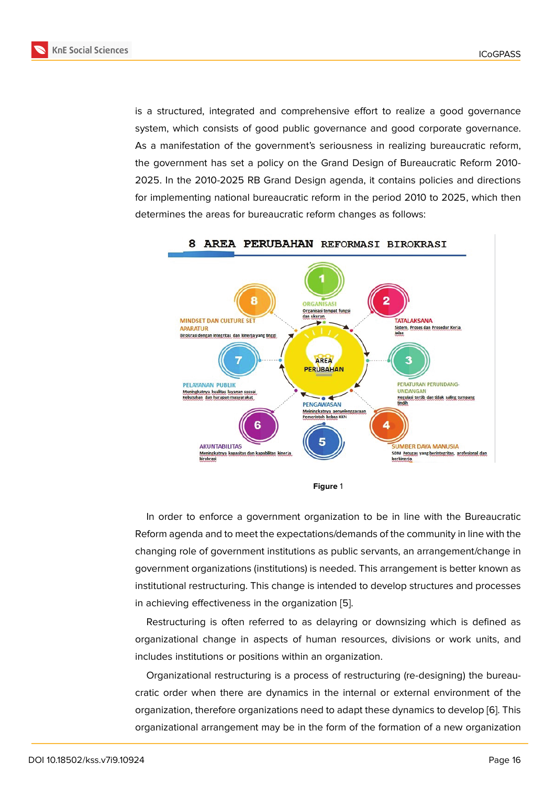is a structured, integrated and comprehensive effort to realize a good governance system, which consists of good public governance and good corporate governance. As a manifestation of the government's seriousness in realizing bureaucratic reform, the government has set a policy on the Grand Design of Bureaucratic Reform 2010- 2025. In the 2010-2025 RB Grand Design agenda, it contains policies and directions for implementing national bureaucratic reform in the period 2010 to 2025, which then determines the areas for bureaucratic reform changes as follows:



#### **Figure** 1

In order to enforce a government organization to be in line with the Bureaucratic Reform agenda and to meet the expectations/demands of the community in line with the changing role of government institutions as public servants, an arrangement/change in government organizations (institutions) is needed. This arrangement is better known as institutional restructuring. This change is intended to develop structures and processes in achieving effectiveness in the organization [5].

Restructuring is often referred to as delayring or downsizing which is defined as organizational change in aspects of human resources, divisions or work units, and includes institutions or positions within an org[an](#page-9-3)ization.

Organizational restructuring is a process of restructuring (re-designing) the bureaucratic order when there are dynamics in the internal or external environment of the organization, therefore organizations need to adapt these dynamics to develop [6]. This organizational arrangement may be in the form of the formation of a new organization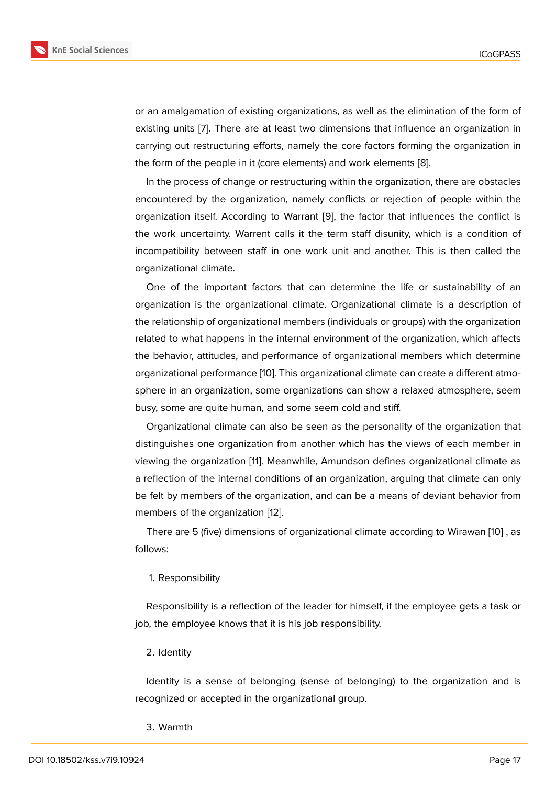or an amalgamation of existing organizations, as well as the elimination of the form of existing units [7]. There are at least two dimensions that influence an organization in carrying out restructuring efforts, namely the core factors forming the organization in the form of the people in it (core elements) and work elements [8].

In the proce[ss](#page-9-5) of change or restructuring within the organization, there are obstacles encountered by the organization, namely conflicts or rejection of people within the organization itself. According to Warrant [9], the factor that in[flu](#page-9-6)ences the conflict is the work uncertainty. Warrent calls it the term staff disunity, which is a condition of incompatibility between staff in one work unit and another. This is then called the organizational climate.

One of the important factors that can determine the life or sustainability of an organization is the organizational climate. Organizational climate is a description of the relationship of organizational members (individuals or groups) with the organization related to what happens in the internal environment of the organization, which affects the behavior, attitudes, and performance of organizational members which determine organizational performance [10]. This organizational climate can create a different atmosphere in an organization, some organizations can show a relaxed atmosphere, seem busy, some are quite human, and some seem cold and stiff.

Organizational climate ca[n a](#page-9-7)lso be seen as the personality of the organization that distinguishes one organization from another which has the views of each member in viewing the organization [11]. Meanwhile, Amundson defines organizational climate as a reflection of the internal conditions of an organization, arguing that climate can only be felt by members of the organization, and can be a means of deviant behavior from members of the organizat[io](#page-9-8)n [12].

There are 5 (five) dimensions of organizational climate according to Wirawan [10] , as follows:

#### 1. Responsibility

Responsibility is a reflection of the leader for himself, if the employee gets a task or job, the employee knows that it is his job responsibility.

#### 2. Identity

Identity is a sense of belonging (sense of belonging) to the organization and is recognized or accepted in the organizational group.

#### 3. Warmth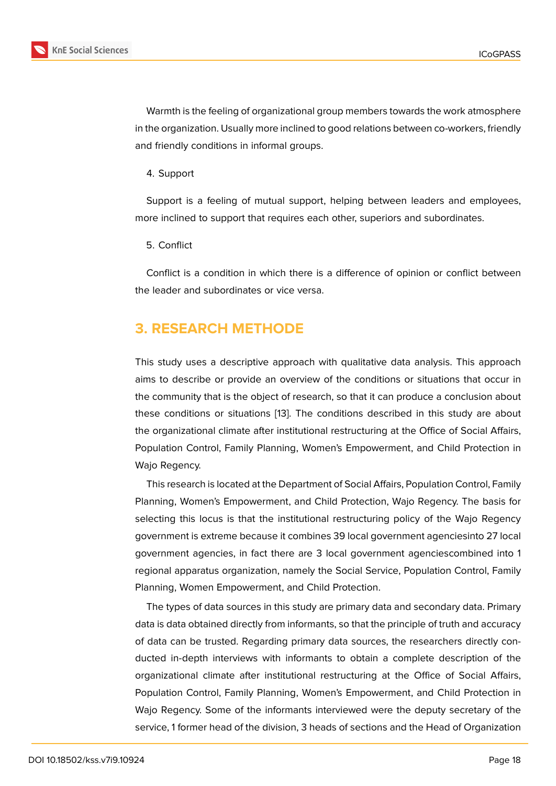Warmth is the feeling of organizational group members towards the work atmosphere in the organization. Usually more inclined to good relations between co-workers, friendly and friendly conditions in informal groups.

4. Support

Support is a feeling of mutual support, helping between leaders and employees, more inclined to support that requires each other, superiors and subordinates.

5. Conflict

Conflict is a condition in which there is a difference of opinion or conflict between the leader and subordinates or vice versa.

# **3. RESEARCH METHODE**

This study uses a descriptive approach with qualitative data analysis. This approach aims to describe or provide an overview of the conditions or situations that occur in the community that is the object of research, so that it can produce a conclusion about these conditions or situations [13]. The conditions described in this study are about the organizational climate after institutional restructuring at the Office of Social Affairs, Population Control, Family Planning, Women's Empowerment, and Child Protection in Wajo Regency.

This research is located at the Department of Social Affairs, Population Control, Family Planning, Women's Empowerment, and Child Protection, Wajo Regency. The basis for selecting this locus is that the institutional restructuring policy of the Wajo Regency government is extreme because it combines 39 local government agenciesinto 27 local government agencies, in fact there are 3 local government agenciescombined into 1 regional apparatus organization, namely the Social Service, Population Control, Family Planning, Women Empowerment, and Child Protection.

The types of data sources in this study are primary data and secondary data. Primary data is data obtained directly from informants, so that the principle of truth and accuracy of data can be trusted. Regarding primary data sources, the researchers directly conducted in-depth interviews with informants to obtain a complete description of the organizational climate after institutional restructuring at the Office of Social Affairs, Population Control, Family Planning, Women's Empowerment, and Child Protection in Wajo Regency. Some of the informants interviewed were the deputy secretary of the service, 1 former head of the division, 3 heads of sections and the Head of Organization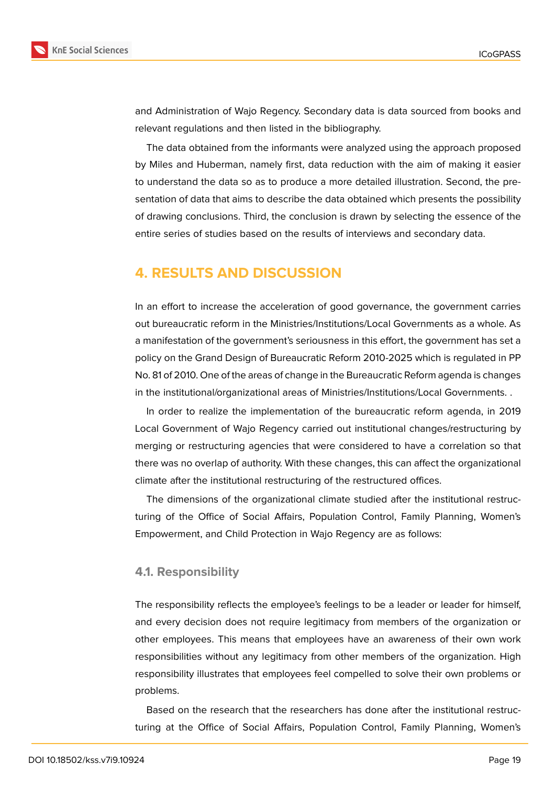

and Administration of Wajo Regency. Secondary data is data sourced from books and relevant regulations and then listed in the bibliography.

The data obtained from the informants were analyzed using the approach proposed by Miles and Huberman, namely first, data reduction with the aim of making it easier to understand the data so as to produce a more detailed illustration. Second, the presentation of data that aims to describe the data obtained which presents the possibility of drawing conclusions. Third, the conclusion is drawn by selecting the essence of the entire series of studies based on the results of interviews and secondary data.

# **4. RESULTS AND DISCUSSION**

In an effort to increase the acceleration of good governance, the government carries out bureaucratic reform in the Ministries/Institutions/Local Governments as a whole. As a manifestation of the government's seriousness in this effort, the government has set a policy on the Grand Design of Bureaucratic Reform 2010-2025 which is regulated in PP No. 81 of 2010. One of the areas of change in the Bureaucratic Reform agenda is changes in the institutional/organizational areas of Ministries/Institutions/Local Governments. .

In order to realize the implementation of the bureaucratic reform agenda, in 2019 Local Government of Wajo Regency carried out institutional changes/restructuring by merging or restructuring agencies that were considered to have a correlation so that there was no overlap of authority. With these changes, this can affect the organizational climate after the institutional restructuring of the restructured offices.

The dimensions of the organizational climate studied after the institutional restructuring of the Office of Social Affairs, Population Control, Family Planning, Women's Empowerment, and Child Protection in Wajo Regency are as follows:

#### **4.1. Responsibility**

The responsibility reflects the employee's feelings to be a leader or leader for himself, and every decision does not require legitimacy from members of the organization or other employees. This means that employees have an awareness of their own work responsibilities without any legitimacy from other members of the organization. High responsibility illustrates that employees feel compelled to solve their own problems or problems.

Based on the research that the researchers has done after the institutional restructuring at the Office of Social Affairs, Population Control, Family Planning, Women's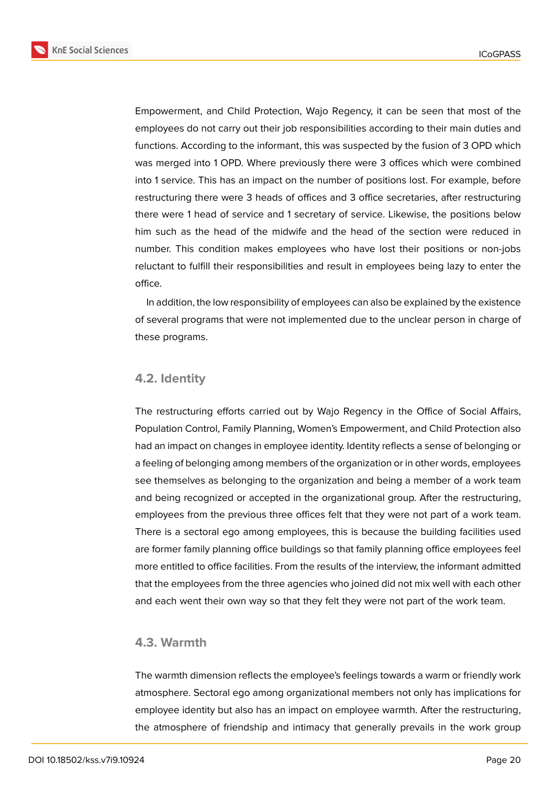**KnE Social Sciences** 



Empowerment, and Child Protection, Wajo Regency, it can be seen that most of the employees do not carry out their job responsibilities according to their main duties and functions. According to the informant, this was suspected by the fusion of 3 OPD which was merged into 1 OPD. Where previously there were 3 offices which were combined into 1 service. This has an impact on the number of positions lost. For example, before restructuring there were 3 heads of offices and 3 office secretaries, after restructuring there were 1 head of service and 1 secretary of service. Likewise, the positions below him such as the head of the midwife and the head of the section were reduced in number. This condition makes employees who have lost their positions or non-jobs reluctant to fulfill their responsibilities and result in employees being lazy to enter the office.

In addition, the low responsibility of employees can also be explained by the existence of several programs that were not implemented due to the unclear person in charge of these programs.

### **4.2. Identity**

The restructuring efforts carried out by Wajo Regency in the Office of Social Affairs, Population Control, Family Planning, Women's Empowerment, and Child Protection also had an impact on changes in employee identity. Identity reflects a sense of belonging or a feeling of belonging among members of the organization or in other words, employees see themselves as belonging to the organization and being a member of a work team and being recognized or accepted in the organizational group. After the restructuring, employees from the previous three offices felt that they were not part of a work team. There is a sectoral ego among employees, this is because the building facilities used are former family planning office buildings so that family planning office employees feel more entitled to office facilities. From the results of the interview, the informant admitted that the employees from the three agencies who joined did not mix well with each other and each went their own way so that they felt they were not part of the work team.

### **4.3. Warmth**

The warmth dimension reflects the employee's feelings towards a warm or friendly work atmosphere. Sectoral ego among organizational members not only has implications for employee identity but also has an impact on employee warmth. After the restructuring, the atmosphere of friendship and intimacy that generally prevails in the work group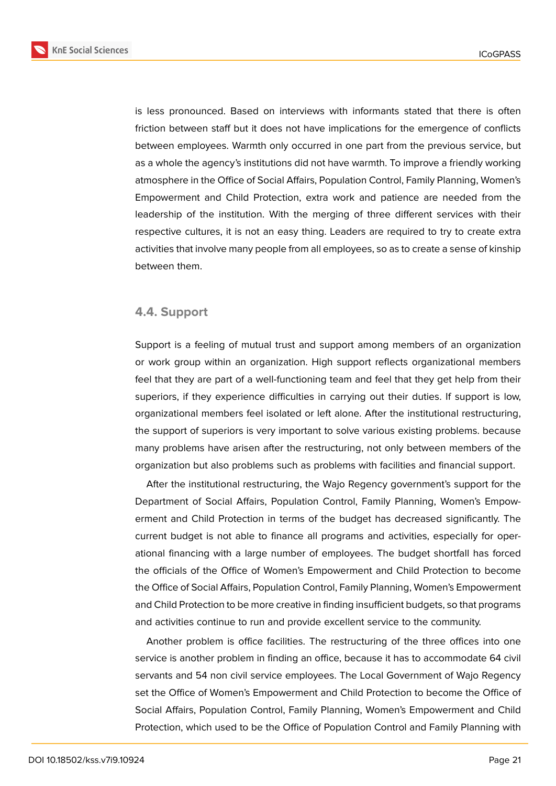**KnE Social Sciences** 



is less pronounced. Based on interviews with informants stated that there is often friction between staff but it does not have implications for the emergence of conflicts between employees. Warmth only occurred in one part from the previous service, but as a whole the agency's institutions did not have warmth. To improve a friendly working atmosphere in the Office of Social Affairs, Population Control, Family Planning, Women's Empowerment and Child Protection, extra work and patience are needed from the leadership of the institution. With the merging of three different services with their respective cultures, it is not an easy thing. Leaders are required to try to create extra activities that involve many people from all employees, so as to create a sense of kinship between them.

### **4.4. Support**

Support is a feeling of mutual trust and support among members of an organization or work group within an organization. High support reflects organizational members feel that they are part of a well-functioning team and feel that they get help from their superiors, if they experience difficulties in carrying out their duties. If support is low, organizational members feel isolated or left alone. After the institutional restructuring, the support of superiors is very important to solve various existing problems. because many problems have arisen after the restructuring, not only between members of the organization but also problems such as problems with facilities and financial support.

After the institutional restructuring, the Wajo Regency government's support for the Department of Social Affairs, Population Control, Family Planning, Women's Empowerment and Child Protection in terms of the budget has decreased significantly. The current budget is not able to finance all programs and activities, especially for operational financing with a large number of employees. The budget shortfall has forced the officials of the Office of Women's Empowerment and Child Protection to become the Office of Social Affairs, Population Control, Family Planning, Women's Empowerment and Child Protection to be more creative in finding insufficient budgets, so that programs and activities continue to run and provide excellent service to the community.

Another problem is office facilities. The restructuring of the three offices into one service is another problem in finding an office, because it has to accommodate 64 civil servants and 54 non civil service employees. The Local Government of Wajo Regency set the Office of Women's Empowerment and Child Protection to become the Office of Social Affairs, Population Control, Family Planning, Women's Empowerment and Child Protection, which used to be the Office of Population Control and Family Planning with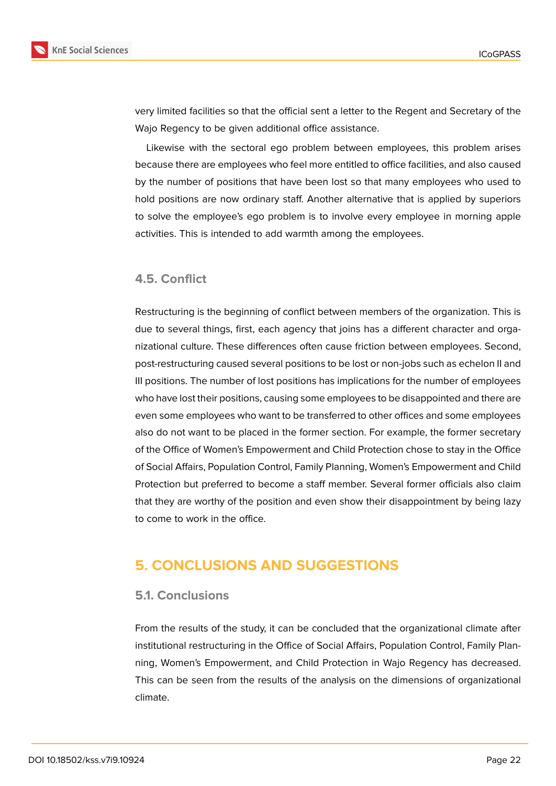



very limited facilities so that the official sent a letter to the Regent and Secretary of the Wajo Regency to be given additional office assistance.

Likewise with the sectoral ego problem between employees, this problem arises because there are employees who feel more entitled to office facilities, and also caused by the number of positions that have been lost so that many employees who used to hold positions are now ordinary staff. Another alternative that is applied by superiors to solve the employee's ego problem is to involve every employee in morning apple activities. This is intended to add warmth among the employees.

# **4.5. Conflict**

Restructuring is the beginning of conflict between members of the organization. This is due to several things, first, each agency that joins has a different character and organizational culture. These differences often cause friction between employees. Second, post-restructuring caused several positions to be lost or non-jobs such as echelon II and III positions. The number of lost positions has implications for the number of employees who have lost their positions, causing some employees to be disappointed and there are even some employees who want to be transferred to other offices and some employees also do not want to be placed in the former section. For example, the former secretary of the Office of Women's Empowerment and Child Protection chose to stay in the Office of Social Affairs, Population Control, Family Planning, Women's Empowerment and Child Protection but preferred to become a staff member. Several former officials also claim that they are worthy of the position and even show their disappointment by being lazy to come to work in the office.

# **5. CONCLUSIONS AND SUGGESTIONS**

#### **5.1. Conclusions**

From the results of the study, it can be concluded that the organizational climate after institutional restructuring in the Office of Social Affairs, Population Control, Family Planning, Women's Empowerment, and Child Protection in Wajo Regency has decreased. This can be seen from the results of the analysis on the dimensions of organizational climate.